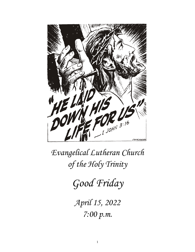

*Evangelical Lutheran Church of the Holy Trinity*

*Good Friday*

*April 15, 2022 7:00 p.m.*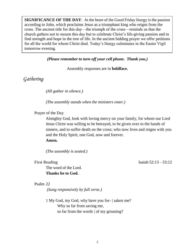**SIGNIFICANCE OF THE DAY**: At the heart of the Good Friday liturgy is the passion according to John, which proclaims Jesus as a triumphant king who reigns from the cross. The ancient title for this day—the triumph of the cross—reminds us that the church gathers not to mourn this day but to celebrate Christ's life-giving passion and to find strength and hope in the tree of life. In the ancient bidding prayer we offer petitions for all the world for whom Christ died. Today's liturgy culminates in the Easter Vigil tomorrow evening.

*(Please remember to turn off your cell phone. Thank you.)* 

Assembly responses are in **boldface.**

## *Gathering*

*(All gather in silence.)*

*(The assembly stands when the ministers enter.)*

Prayer of the Day

Almighty God, look with loving mercy on your family, for whom our Lord Jesus Christ was willing to be betrayed, to be given over to the hands of sinners, and to suffer death on the cross; who now lives and reigns with you and the Holy Spirit, one God, now and forever. **Amen.**

*(The assembly is seated.)*

The word of the Lord. **Thanks be to God.**

First Reading Isaiah  $52:13 - 53:12$ 

#### Psalm 22

 *(Sung responsively by full verse.)*

1 My God, my God, why have you for- | saken me? Why so far from saving me, so far from the words | of my groaning?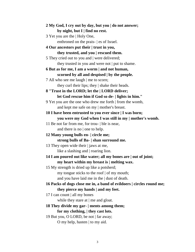| 2 My God, I cry out by day, but you   do not answer;                  |
|-----------------------------------------------------------------------|
| by night, but $I \mid$ find no rest.                                  |
| 3 Yet you are the   Holy One,                                         |
| enthroned on the prais- es of Israel.                                 |
| 4 Our ancestors put their   trust in you,                             |
| they trusted, and you   rescued them.                                 |
| 5 They cried out to you and   were delivered;                         |
| they trusted in you and were not   put to shame.                      |
| 6 But as for me, I am a worm   and not human,                         |
| scorned by all and despised   by the people.                          |
| 7 All who see me laugh   me to scorn;                                 |
| they curl their lips; they   shake their heads.                       |
| 8 "Trust in the LORD; let the   LORD deliver;                         |
| let God rescue him if God so de-   lights in him."                    |
| 9 Yet you are the one who drew me forth   from the womb,              |
| and kept me safe on my   mother's breast.                             |
| 10 I have been entrusted to you ever since   I was born;              |
| you were my God when I was still in my   mother's womb.               |
| 11 Be not far from me, for trou-   ble is near,                       |
| and there is no $ $ one to help.                                      |
| 12 Many young bulls en-   circle me;                                  |
| strong bulls of Ba-   shan surround me.                               |
| 13 They open wide their   jaws at me,                                 |
| like a slashing and   roaring lion.                                   |
| 14 I am poured out like water; all my bones are   out of joint;       |
| my heart within my breast is   melting wax.                           |
| 15 My strength is dried up like a potsherd;                           |
| my tongue sticks to the roof $\vert$ of my mouth;                     |
| and you have laid me in the $\vert$ dust of death.                    |
| 16 Packs of dogs close me in, a band of evildoers   circles round me; |
| they pierce my hands   and my feet.                                   |
| 17 I can count   all my bones                                         |
| while they stare at   me and gloat.                                   |
| 18 They divide my gar-   ments among them;                            |
| for my clothing,   they cast lots.                                    |
| 19 But you, O LORD, be not   far away;                                |

O my help, hasten | to my aid.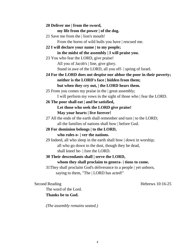#### **20 Deliver me | from the sword,**

#### **my life from the power | of the dog.**

21 Save me from the | lion's mouth! From the horns of wild bulls you have | rescued me.

#### **22 I will declare your name | to my people; in the midst of the assembly | I will praise you.**

#### 23 You who fear the LORD, give praise!

All you of Jacob's | line, give glory.

Stand in awe of the LORD, all you off- | spring of Israel.

**24 For the LORD does not despise nor abhor the poor in their poverty; neither is the LORD's face | hidden from them; but when they cry out, | the LORD hears them.**

25 From you comes my praise in the | great assembly;

I will perform my vows in the sight of those who | fear the LORD.

#### **26 The poor shall eat | and be satisfied,**

# **Let those who seek the LORD give praise!**

#### **May your hearts | live forever!**

27 All the ends of the earth shall remember and turn | to the LORD; all the families of nations shall bow | before God.

# **28 For dominion belongs | to the LORD,**

#### **who rules o- | ver the nations.**

29 Indeed, all who sleep in the earth shall bow | down in worship; all who go down to the dust, though they be dead, shall kneel be- | fore the LORD.

### **30 Their descendants shall | serve the LORD,**

#### **whom they shall proclaim to genera- | tions to come.**

31They shall proclaim God's deliverance to a people | yet unborn, saying to them, "The | LORD has acted!"

Second Reading Hebrews 10:16-25

The word of the Lord. **Thanks be to God.**

*(The assembly remains seated.)*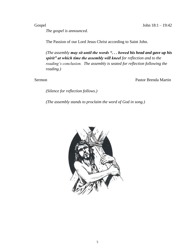Gospel John 18:1 – 19:42

*The gospel is announced.*

The Passion of our Lord Jesus Christ according to Saint John.

*(The assembly may sit until the words ". . . bowed his head and gave up his spirit" at which time the assembly will kneel for reflection and to the reading's conclusion. The assembly is seated for reflection following the reading.)*

Sermon Pastor Brenda Martin

*(Silence for reflection follows.)*

*(The assembly stands to proclaim the word of God in song.)*

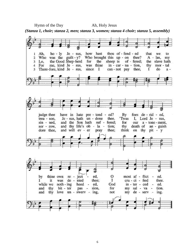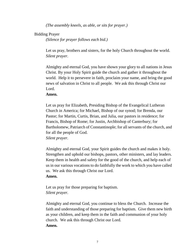*(The assembly kneels, as able, or sits for prayer.)*

#### Bidding Prayer

*(Silence for prayer follows each bid.)*

Let us pray, brothers and sisters, for the holy Church throughout the world. *Silent prayer.*

Almighty and eternal God, you have shown your glory to all nations in Jesus Christ. By your Holy Spirit guide the church and gather it throughout the world. Help it to persevere in faith, proclaim your name, and bring the good news of salvation in Christ to all people. We ask this through Christ our Lord.

#### **Amen.**

Let us pray for Elizabeth, Presiding Bishop of the Evangelical Lutheran Church in America; for Michael, Bishop of our synod; for Brenda, our Pastor; for Martin, Curtis, Brian, and Julia, our pastors in residence; for Francis, Bishop of Rome; for Justin, Archbishop of Canterbury; for Bartholomew, Patriarch of Constantinople; for all servants of the church, and for all the people of God.

*Silent prayer.*

Almighty and eternal God, your Spirit guides the church and makes it holy. Strengthen and uphold our bishops, pastors, other ministers, and lay leaders. Keep them in health and safety for the good of the church, and help each of us in our various vocations to do faithfully the work to which you have called us. We ask this through Christ our Lord.

#### **Amen.**

Let us pray for those preparing for baptism. *Silent prayer.*

Almighty and eternal God, you continue to bless the Church. Increase the faith and understanding of those preparing for baptism. Give them new birth as your children, and keep them in the faith and communion of your holy church. We ask this through Christ our Lord. **Amen.**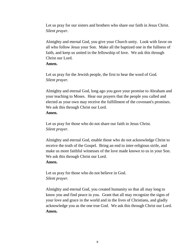Let us pray for our sisters and brothers who share our faith in Jesus Christ. *Silent prayer.*

Almighty and eternal God, you give your Church unity. Look with favor on all who follow Jesus your Son. Make all the baptized one in the fullness of faith, and keep us united in the fellowship of love. We ask this through Christ our Lord.

#### **Amen.**

Let us pray for the Jewish people, the first to hear the word of God. *Silent prayer.*

Almighty and eternal God, long ago you gave your promise to Abraham and your teaching to Moses. Hear our prayers that the people you called and elected as your own may receive the fulfillment of the covenant's promises. We ask this through Christ our Lord.

#### **Amen.**

Let us pray for those who do not share our faith in Jesus Christ. *Silent prayer.*

Almighty and eternal God, enable those who do not acknowledge Christ to receive the truth of the Gospel. Bring an end to inter-religious strife, and make us more faithful witnesses of the love made known to us in your Son. We ask this through Christ our Lord.

#### **Amen.**

Let us pray for those who do not believe in God. *Silent prayer.*

Almighty and eternal God, you created humanity so that all may long to know you and find peace in you. Grant that all may recognize the signs of your love and grace in the world and in the lives of Christians, and gladly acknowledge you as the one true God. We ask this through Christ our Lord. **Amen.**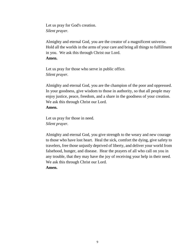Let us pray for God's creation. *Silent prayer.*

Almighty and eternal God, you are the creator of a magnificent universe. Hold all the worlds in the arms of your care and bring all things to fulfillment in you. We ask this through Christ our Lord. **Amen.**

Let us pray for those who serve in public office. *Silent prayer.*

Almighty and eternal God, you are the champion of the poor and oppressed. In your goodness, give wisdom to those in authority, so that all people may enjoy justice, peace, freedom, and a share in the goodness of your creation. We ask this through Christ our Lord.

#### **Amen.**

Let us pray for those in need. *Silent prayer.*

Almighty and eternal God, you give strength to the weary and new courage to those who have lost heart. Heal the sick, comfort the dying, give safety to travelers, free those unjustly deprived of liberty, and deliver your world from falsehood, hunger, and disease. Hear the prayers of all who call on you in any trouble, that they may have the joy of receiving your help in their need. We ask this through Christ our Lord.

#### **Amen.**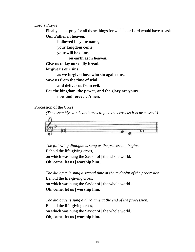Lord's Prayer

Finally, let us pray for all those things for which our Lord would have us ask.

**Our Father in heaven,**

**hallowed be your name,**

**your kingdom come,**

**your will be done,**

**on earth as in heaven.**

**Give us today our daily bread.**

**forgive us our sins**

**as we forgive those who sin against us.**

**Save us from the time of trial**

**and deliver us from evil.**

**For the kingdom, the power, and the glory are yours, now and forever. Amen.**

Procession of the Cross

*(The assembly stands and turns to face the cross as it is processed.)*



*The following dialogue is sung as the procession begins.* Behold the life-giving cross, on which was hung the Savior of | the whole world. **Oh, come, let us | worship him.**

*The dialogue is sung a second time at the midpoint of the procession.* Behold the life-giving cross, on which was hung the Savior of | the whole world. **Oh, come, let us | worship him.**

*The dialogue is sung a third time at the end of the procession.* Behold the life-giving cross, on which was hung the Savior of | the whole world. **Oh, come, let us | worship him.**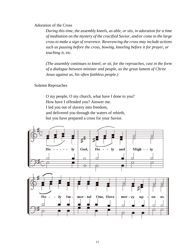#### Adoration of the Cross

*During this time, the assembly kneels, as able, or sits, in adoration for a time of meditation on the mystery of the crucified Savior, and/or come to the large cross to make a sign of reverence. Reverencing the cross may include actions such as pausing before the cross, bowing, kneeling before it for prayer, or touching it, etc.*

*(The assembly continues to kneel, or sit, for the reproaches, cast in the form of a dialogue between minister and people, as the great lament of Christ Jesus against us, his often faithless people.)* 

#### Solemn Reproaches

O my people, O my church, what have I done to you? How have I offended you? Answer me. I led you out of slavery into freedom, and delivered you through the waters of rebirth, but you have prepared a cross for your Savior.

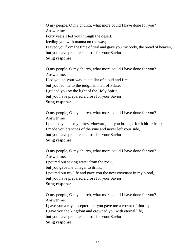O my people, O my church, what more could I have done for you? Answer me.

Forty years I led you through the desert,

feeding you with manna on the way;

I saved you from the time of trial and gave you my body, the bread of heaven, but you have prepared a cross for your Savior.

#### **Sung response**

O my people, O my church, what more could I have done for you? Answer me.

I led you on your way in a pillar of cloud and fire, but you led me to the judgment hall of Pilate; I guided you by the light of the Holy Spirit, but you have prepared a cross for your Savior.

#### **Sung response**

O my people, O my church, what more could I have done for you? Answer me.

I planted you as my fairest vineyard, but you brought forth bitter fruit; I made you branches of the vine and never left your side,

but you have prepared a cross for your Savior.

#### **Sung response**

O my people, O my church, what more could I have done for you? Answer me.

I poured out saving water from the rock,

but you gave me vinegar to drink;

I poured out my life and gave you the new covenant in my blood, but you have prepared a cross for your Savior.

#### **Sung response**

O my people, O my church, what more could I have done for you? Answer me.

I gave you a royal scepter, but you gave me a crown of thorns; I gave you the kingdom and crowned you with eternal life, but you have prepared a cross for your Savior.

#### **Sung response**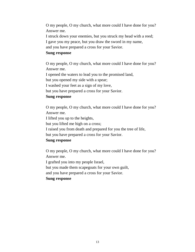O my people, O my church, what more could I have done for you? Answer me. I struck down your enemies, but you struck my head with a reed; I gave you my peace, but you draw the sword in my name, and you have prepared a cross for your Savior.

#### **Sung response**

O my people, O my church, what more could I have done for you? Answer me.

I opened the waters to lead you to the promised land,

but you opened my side with a spear;

I washed your feet as a sign of my love,

but you have prepared a cross for your Savior.

#### **Sung response**

O my people, O my church, what more could I have done for you? Answer me.

I lifted you up to the heights,

but you lifted me high on a cross;

I raised you from death and prepared for you the tree of life,

but you have prepared a cross for your Savior.

#### **Sung response**

O my people, O my church, what more could I have done for you? Answer me.

I grafted you into my people Israel,

but you made them scapegoats for your own guilt,

and you have prepared a cross for your Savior.

#### **Sung response**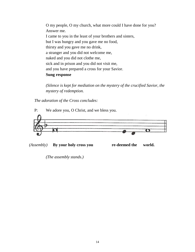O my people, O my church, what more could I have done for you? Answer me. I came to you in the least of your brothers and sisters, but I was hungry and you gave me no food, thirsty and you gave me no drink, a stranger and you did not welcome me, naked and you did not clothe me, sick and in prison and you did not visit me, and you have prepared a cross for your Savior. **Sung response**

*(Silence is kept for mediation on the mystery of the crucified Savior, the mystery of redemption.*

*The adoration of the Cross concludes:*



*(Assembly)* **By your holy cross you re-deemed the world.**

*(The assembly stands.)*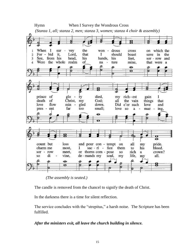

*(The assembly is seated.)*

The candle is removed from the chancel to signify the death of Christ.

In the darkness there is a time for silent reflection.

The service concludes with the "strepitus," a harsh noise. The Scripture has been fulfilled.

#### *After the ministers exit, all leave the church building in silence.*